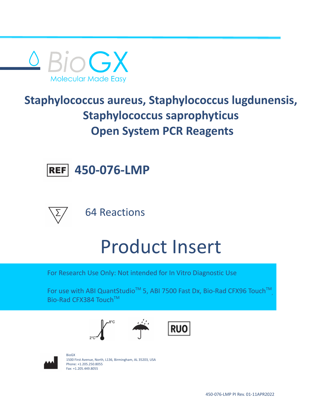

## **Staphylococcus aureus, Staphylococcus lugdunensis, Staphylococcus saprophyticus Open System PCR Reagents**



64 Reactions

**450-076-LMP**

# Product Insert

For Research Use Only: Not intended for In Vitro Diagnostic Use

For use with ABI QuantStudio<sup>™</sup> 5, ABI 7500 Fast Dx, Bio-Rad CFX96 Touch<sup>™</sup>, , Bio-Rad CFX384 Touch™







BioGX 1500 First Avenue, North, L136, Birmingham, AL 35203, USA Phone: +1.205.250.8055 Fax: +1.205.449.8055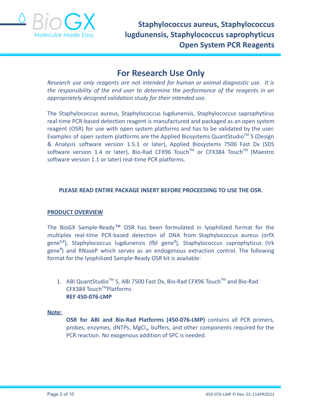

### **For Research Use Only**

*Research use only reagents are not intended for human or animal diagnostic use. It is the responsibility of the end user to determine the performance of the reagents in an appropriately designed validation study for their intended use.*

The Staphylococcus aureus, Staphylococcus lugdunensis, Staphylococcus saprophyticus real-time PCR-based detection reagent is manufactured and packaged as an open system reagent (OSR) for use with open system platforms and has to be validated by the user. Examples of open system platforms are the Applied Biosystems QuantStudio™ 5 (Design & Analysis software version 1.5.1 or later), Applied Biosystems 7500 Fast Dx (SDS software version 1.4 or later), Bio-Rad CFX96 Touch™ or CFX384 Touch™ (Maestro software version 1.1 or later) real-time PCR platforms.

#### **PLEASE READ ENTIRE PACKAGE INSERT BEFORE PROCEEDING TO USE THE OSR.**

#### **PRODUCT OVERVIEW**

The BioGX Sample-Ready™ OSR has been formulated in lyophilized format for the multiplex real-time PCR-based detection of DNA from Staphylococcus aureus (orfX gene**1,2** ), Staphylococcus lugdunensis (fbl gene**<sup>3</sup>** ), Staphylococcus saprophyticus (trk gene**<sup>4</sup>** ) and RNaseP which serves as an endogenous extraction control. The following format for the lyophilized Sample-Ready OSR kit is available:

1. ABI QuantStudio<sup>™</sup> 5, ABI 7500 Fast Dx, Bio-Rad CFX96 Touch<sup>™</sup> and Bio-Rad CFX384 Touch™Platforms **REF 450-076-LMP**

#### **Note:**

**OSR for ABI and Bio-Rad Platforms (450-076-LMP)** contains all PCR primers, probes, enzymes, dNTPs, MgCl<sub>2</sub>, buffers, and other components required for the PCR reaction. No exogenous addition of SPC is needed.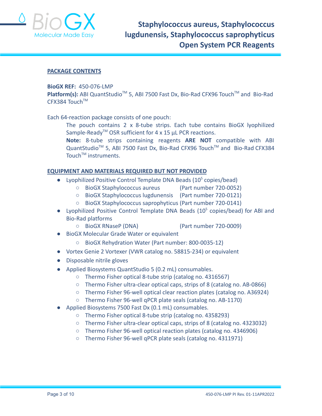

#### **PACKAGE CONTENTS**

#### **BioGX REF:** 450-076-LMP

Platform(s): ABI QuantStudio<sup>™</sup> 5, ABI 7500 Fast Dx, Bio-Rad CFX96 Touch<sup>™</sup> and Bio-Rad CFX384 Touch™

Each 64-reaction package consists of one pouch:

The pouch contains 2 x 8-tube strips. Each tube contains BioGX lyophilized Sample-Ready<sup>TM</sup> OSR sufficient for 4 x 15  $\mu$ L PCR reactions.

**Note:** 8-tube strips containing reagents **ARE NOT** compatible with ABI QuantStudio<sup>™</sup> 5, ABI 7500 Fast Dx, Bio-Rad CFX96 Touch™ and Bio-Rad CFX384 Touch<sup>™</sup> instruments.

#### **EQUIPMENT AND MATERIALS REQUIRED BUT NOT PROVIDED**

- Lyophilized Positive Control Template DNA Beads  $(10^5 \text{ copies/head})$ 
	- BioGX Staphylococcus aureus (Part number 720-0052)
	- BioGX Staphylococcus lugdunensis (Part number 720-0121)
	- BioGX Staphylococcus saprophyticus (Part number 720-0141)
- Lyophilized Positive Control Template DNA Beads (10<sup>5</sup> copies/bead) for ABI and Bio-Rad platforms
	- BioGX RNaseP (DNA) (Part number 720-0009)
- BioGX Molecular Grade Water or equivalent
	- BioGX Rehydration Water (Part number: 800-0035-12)
- Vortex Genie 2 Vortexer (VWR catalog no. 58815-234) or equivalent
- Disposable nitrile gloves
- Applied Biosystems QuantStudio 5 (0.2 mL) consumables.
	- Thermo Fisher optical 8-tube strip (catalog no. 4316567)
	- Thermo Fisher ultra-clear optical caps, strips of 8 (catalog no. AB-0866)
	- Thermo Fisher 96-well optical clear reaction plates (catalog no. A36924)
	- Thermo Fisher 96-well qPCR plate seals (catalog no. AB-1170)
- Applied Biosystems 7500 Fast Dx (0.1 mL) consumables.
	- Thermo Fisher optical 8-tube strip (catalog no. 4358293)
	- Thermo Fisher ultra-clear optical caps, strips of 8 (catalog no. 4323032)
	- Thermo Fisher 96-well optical reaction plates (catalog no. 4346906)
	- Thermo Fisher 96-well qPCR plate seals (catalog no. 4311971)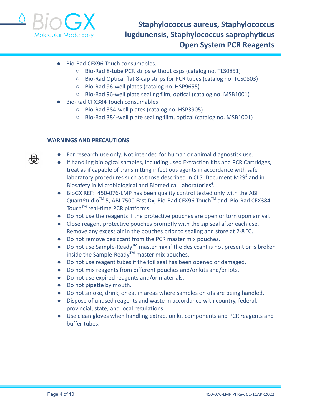

- Bio-Rad CFX96 Touch consumables.
	- Bio-Rad 8-tube PCR strips without caps (catalog no. TLS0851)
	- Bio-Rad Optical flat 8-cap strips for PCR tubes (catalog no. TCS0803)
	- Bio-Rad 96-well plates (catalog no. HSP9655)
	- Bio-Rad 96-well plate sealing film, optical (catalog no. MSB1001)
- Bio-Rad CFX384 Touch consumables.
	- Bio-Rad 384-well plates (catalog no. HSP3905)
	- Bio-Rad 384-well plate sealing film, optical (catalog no. MSB1001)

#### **WARNINGS AND PRECAUTIONS**

- For research use only. Not intended for human or animal diagnostics use.
- If handling biological samples, including used Extraction Kits and PCR Cartridges, treat as if capable of transmitting infectious agents in accordance with safe laboratory procedures such as those described in CLSI Document M29**<sup>5</sup>** and in Biosafety in Microbiological and Biomedical Laboratories**<sup>6</sup>** .
- BioGX REF: 450-076-LMP has been quality control tested only with the ABI QuantStudio<sup>™</sup> 5, ABI 7500 Fast Dx, Bio-Rad CFX96 Touch™ and Bio-Rad CFX384 Touch<sup>™</sup> real-time PCR platforms.
- Do not use the reagents if the protective pouches are open or torn upon arrival.
- Close reagent protective pouches promptly with the zip seal after each use. Remove any excess air in the pouches prior to sealing and store at 2-8 °C.
- Do not remove desiccant from the PCR master mix pouches.
- Do not use Sample-Ready**TM** master mix if the desiccant is not present or is broken inside the Sample-Ready**TM** master mix pouches.
- Do not use reagent tubes if the foil seal has been opened or damaged.
- Do not mix reagents from different pouches and/or kits and/or lots.
- Do not use expired reagents and/or materials.
- Do not pipette by mouth.
- Do not smoke, drink, or eat in areas where samples or kits are being handled.
- Dispose of unused reagents and waste in accordance with country, federal, provincial, state, and local regulations.
- Use clean gloves when handling extraction kit components and PCR reagents and buffer tubes.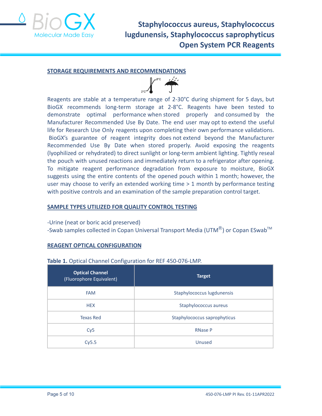

#### **STORAGE REQUIREMENTS AND RECOMMENDATIONS**



Reagents are stable at a temperature range of 2-30°C during shipment for 5 days, but BioGX recommends long-term storage at 2-8°C. Reagents have been tested to demonstrate optimal performance when stored properly and consumed by the Manufacturer Recommended Use By Date. The end user may opt to extend the useful life for Research Use Only reagents upon completing their own performance validations. BioGX's guarantee of reagent integrity does not extend beyond the Manufacturer Recommended Use By Date when stored properly. Avoid exposing the reagents (lyophilized or rehydrated) to direct sunlight or long-term ambient lighting. Tightly reseal the pouch with unused reactions and immediately return to a refrigerator after opening. To mitigate reagent performance degradation from exposure to moisture, BioGX suggests using the entire contents of the opened pouch within 1 month; however, the user may choose to verify an extended working time > 1 month by performance testing with positive controls and an examination of the sample preparation control target.

#### **SAMPLE TYPES UTILIZED FOR QUALITY CONTROL TESTING**

#### -Urine (neat or boric acid preserved)

-Swab samples collected in Copan Universal Transport Media (UTM $^{\circledR}$ ) or Copan ESwab<sup>TM</sup>

#### **REAGENT OPTICAL CONFIGURATION**

#### **Table 1.** Optical Channel Configuration for REF 450-076-LMP.

| <b>Optical Channel</b><br>(Fluorophore Equivalent) | <b>Target</b>                |  |  |
|----------------------------------------------------|------------------------------|--|--|
| <b>FAM</b>                                         | Staphylococcus lugdunensis   |  |  |
| <b>HEX</b>                                         | Staphylococcus aureus        |  |  |
| <b>Texas Red</b>                                   | Staphylococcus saprophyticus |  |  |
| Cy5                                                | <b>RNase P</b>               |  |  |
| Cy5.5                                              | Unused                       |  |  |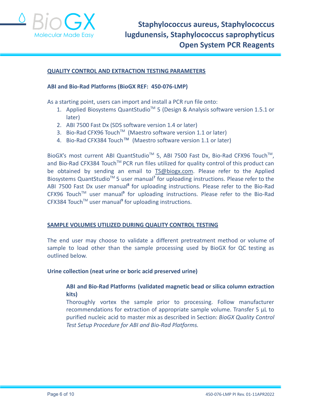

#### **QUALITY CONTROL AND EXTRACTION TESTING PARAMETERS**

#### **ABI and Bio-Rad Platforms (BioGX REF: 450-076-LMP)**

As a starting point, users can import and install a PCR run file onto:

- 1. Applied Biosystems QuantStudio<sup>™</sup> 5 (Design & Analysis software version 1.5.1 or later)
- 2. ABI 7500 Fast Dx (SDS software version 1.4 or later)
- 3. Bio-Rad CFX96 Touch<sup>™</sup> (Maestro software version 1.1 or later)
- 4. Bio-Rad CFX384 Touch™ (Maestro software version 1.1 or later)

BioGX's most current ABI QuantStudio<sup>™</sup> 5, ABI 7500 Fast Dx, Bio-Rad CFX96 Touch<sup>™</sup>, and Bio-Rad CFX384 Touch™ PCR run files utilized for quality control of this product can be obtained by sending an email to [TS@biogx.com](mailto:TS@biogx.com). Please refer to the Applied Biosystems QuantStudio<sup>™</sup> 5 user manual<sup>7</sup> for uploading instructions. Please refer to the ABI 7500 Fast Dx user manual**<sup>8</sup>** for uploading instructions. Please refer to the Bio-Rad CFX96 TouchTM user manual**<sup>9</sup>** for uploading instructions. Please refer to the Bio-Rad CFX384 TouchTM user manual**<sup>9</sup>** for uploading instructions.

#### **SAMPLE VOLUMES UTILIZED DURING QUALITY CONTROL TESTING**

The end user may choose to validate a different pretreatment method or volume of sample to load other than the sample processing used by BioGX for QC testing as outlined below.

#### **Urine collection (neat urine or boric acid preserved urine)**

#### **ABI and Bio-Rad Platforms (validated magnetic bead or silica column extraction kits)**

Thoroughly vortex the sample prior to processing. Follow manufacturer recommendations for extraction of appropriate sample volume. Transfer 5 μL to purified nucleic acid to master mix as described in Section: *BioGX Quality Control Test Setup Procedure for ABI and Bio-Rad Platforms.*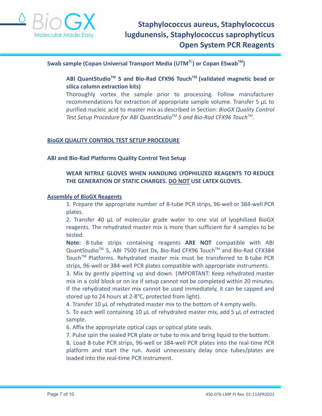

#### **Swab sample (Copan Universal Transport Media (UTM**Ⓡ**) or Copan ESwabTM )**

**ABI QuantStudioTM 5 and Bio-Rad CFX96 TouchTM (validated magnetic bead or silica column extraction kits)**

Thoroughly vortex the sample prior to processing. Follow manufacturer recommendations for extraction of appropriate sample volume. Transfer 5 μL to purified nucleic acid to master mix as described in Section: *BioGX Quality Control Test Setup Procedure for ABI QuantStudioTM 5 and Bio-Rad CFX96 TouchTM .*

#### **BioGX QUALITY CONTROL TEST SETUP PROCEDURE**

#### **ABI and Bio-Rad Platforms Quality Control Test Setup**

#### **WEAR NITRILE GLOVES WHEN HANDLING LYOPHILIZED REAGENTS TO REDUCE THE GENERATION OF STATIC CHARGES. DO NOT USE LATEX GLOVES.**

#### **Assembly of BioGX Reagents**

1. Prepare the appropriate number of 8-tube PCR strips, 96-well or 384-well PCR plates.

2. Transfer 40 μL of molecular grade water to one vial of lyophilized BioGX reagents. The rehydrated master mix is more than sufficient for 4 samples to be tested.

**Note:** 8-tube strips containing reagents **ARE NOT** compatible with ABI QuantStudio<sup>™</sup> 5, ABI 7500 Fast Dx, Bio-Rad CFX96 Touch™ and Bio-Rad CFX384 Touch™ Platforms. Rehydrated master mix must be transferred to 8-tube PCR strips, 96-well or 384-well PCR plates compatible with appropriate instruments.

3. Mix by gently pipetting up and down. (IMPORTANT: Keep rehydrated master mix in a cold block or on ice if setup cannot not be completed within 20 minutes. If the rehydrated master mix cannot be used immediately, it can be capped and stored up to 24 hours at 2-8°C, protected from light).

4. Transfer 10 μL of rehydrated master mix to the bottom of 4 empty wells.

5. To each well containing 10 μL of rehydrated master mix, add 5 μL of extracted sample.

6. Affix the appropriate optical caps or optical plate seals.

7. Pulse spin the sealed PCR plate or tube to mix and bring liquid to the bottom.

8. Load 8-tube PCR strips, 96-well or 384-well PCR plates into the real-time PCR platform and start the run. Avoid unnecessary delay once tubes/plates are loaded into the real-time PCR instrument.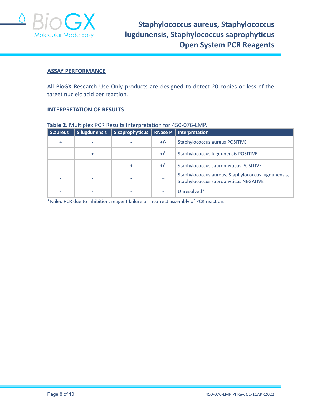

#### **ASSAY PERFORMANCE**

All BioGX Research Use Only products are designed to detect 20 copies or less of the target nucleic acid per reaction.

#### **INTERPRETATION OF RESULTS**

| S.aureus | S.lugdunensis | S.saprophyticus | <b>RNase P</b> | Interpretation                                                                              |  |  |  |
|----------|---------------|-----------------|----------------|---------------------------------------------------------------------------------------------|--|--|--|
|          |               |                 | $+/-$          | <b>Staphylococcus aureus POSITIVE</b>                                                       |  |  |  |
|          |               |                 | $+/-$          | Staphylococcus lugdunensis POSITIVE                                                         |  |  |  |
|          |               | ٠               | $+/-$          | Staphylococcus saprophyticus POSITIVE                                                       |  |  |  |
|          |               |                 | ٠              | Staphylococcus aureus, Staphylococcus lugdunensis,<br>Staphylococcus saprophyticus NEGATIVE |  |  |  |
|          |               |                 |                | Unresolved*                                                                                 |  |  |  |

#### **Table 2.** Multiplex PCR Results Interpretation for 450-076-LMP.

\*Failed PCR due to inhibition, reagent failure or incorrect assembly of PCR reaction.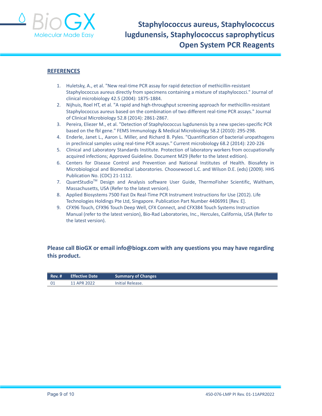

#### **REFERENCES**

- 1. Huletsky, A., et al. "New real-time PCR assay for rapid detection of methicillin-resistant Staphylococcus aureus directly from specimens containing a mixture of staphylococci." Journal of clinical microbiology 42.5 (2004): 1875-1884.
- 2. Nijhuis, Roel HT, et al. "A rapid and high-throughput screening approach for methicillin-resistant Staphylococcus aureus based on the combination of two different real-time PCR assays." Journal of Clinical Microbiology 52.8 (2014): 2861-2867.
- 3. Pereira, Eliezer M., et al. "Detection of Staphylococcus lugdunensis by a new species-specific PCR based on the fbl gene." FEMS Immunology & Medical Microbiology 58.2 (2010): 295-298.
- 4. Enderle, Janet L., Aaron L. Miller, and Richard B. Pyles. "Quantification of bacterial uropathogens in preclinical samples using real-time PCR assays." Current microbiology 68.2 (2014): 220-226
- 5. Clinical and Laboratory Standards Institute. Protection of laboratory workers from occupationally acquired infections; Approved Guideline. Document M29 (Refer to the latest edition).
- 6. Centers for Disease Control and Prevention and National Institutes of Health. Biosafety in Microbiological and Biomedical Laboratories. Choosewood L.C. and Wilson D.E. (eds) (2009). HHS Publication No. (CDC) 21-1112.
- 7. QuantStudio<sup>™</sup> Design and Analysis software User Guide, ThermoFisher Scientific, Waltham, Massachusetts, USA (Refer to the latest version).
- 8. Applied Biosystems 7500 Fast Dx Real-Time PCR Instrument Instructions for Use (2012). Life Technologies Holdings Pte Ltd, Singapore. Publication Part Number 4406991 [Rev. E].
- 9. CFX96 Touch, CFX96 Touch Deep Well, CFX Connect, and CFX384 Touch Systems Instruction Manual (refer to the latest version), Bio-Rad Laboratories, Inc., Hercules, California, USA (Refer to the latest version).

#### **Please call BioGX or email info@biogx.com with any questions you may have regarding this product.**

| $Rev.$ # | <b>Effective Date</b> | <b>Summary of Changes</b> |
|----------|-----------------------|---------------------------|
| - 01     | 11 APR 2022           | Initial Release.          |